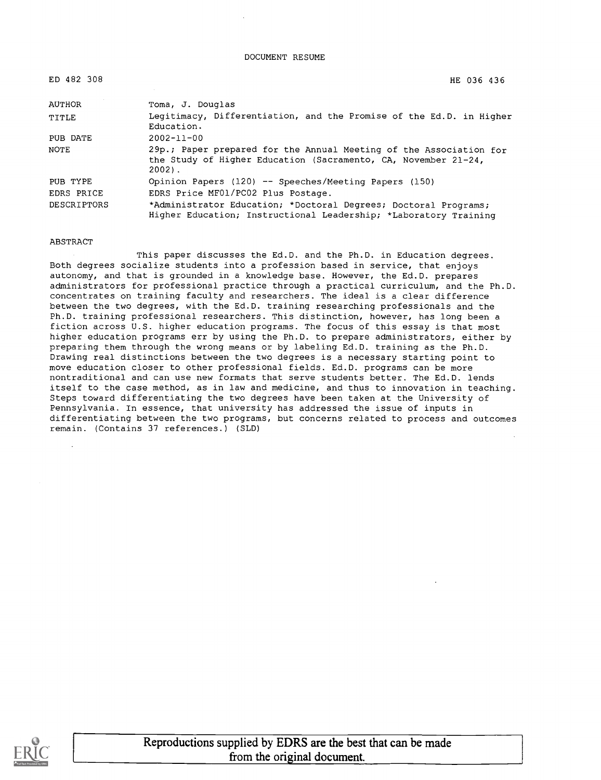DOCUMENT RESUME

| 482<br>E D . | 308 |
|--------------|-----|
|--------------|-----|

ED 482 308 HE 036 436

| AUTHOR      | Toma, J. Douglas                                                                                                                                 |  |  |
|-------------|--------------------------------------------------------------------------------------------------------------------------------------------------|--|--|
| TITLE       | Legitimacy, Differentiation, and the Promise of the Ed.D. in Higher<br>Education.                                                                |  |  |
| PUB DATE    | $2002 - 11 - 00$                                                                                                                                 |  |  |
| NOTE        | 29p.; Paper prepared for the Annual Meeting of the Association for<br>the Study of Higher Education (Sacramento, CA, November 21-24,<br>$2002$ . |  |  |
| PUB TYPE    | Opinion Papers (120) -- Speeches/Meeting Papers (150)                                                                                            |  |  |
| EDRS PRICE  | EDRS Price MF01/PC02 Plus Postage.                                                                                                               |  |  |
| DESCRIPTORS | *Administrator Education; *Doctoral Degrees; Doctoral Programs;<br>Higher Education; Instructional Leadership; *Laboratory Training              |  |  |

#### ABSTRACT

This paper discusses the Ed.D. and the Ph.D. in Education degrees. Both degrees socialize students into a profession based in service, that enjoys autonomy, and that is grounded in a knowledge base. However, the Ed.D. prepares administrators for professional practice through a practical curriculum, and the Ph.D. concentrates on training faculty and researchers. The ideal is a clear difference between the two degrees, with the Ed.D. training researching professionals and the Ph.D. training professional researchers. This distinction, however, has long been a fiction across U.S. higher education programs. The focus of this essay is that most higher education programs err by using the Ph.D. to prepare administrators, either by preparing them through the wrong means or by labeling Ed.D. training as the Ph.D. Drawing real distinctions between the two degrees is a necessary starting point to move education closer to other professional fields. Ed.D. programs can be more nontraditional and can use new formats that serve students better. The Ed.D. lends itself to the case method, as in law and medicine, and thus to innovation in teaching. Steps toward differentiating the two degrees have been taken at the University of Pennsylvania. In essence, that university has addressed the issue of inputs in differentiating between the two programs, but concerns related to process and outcomes remain. (Contains 37 references.) (SLD)

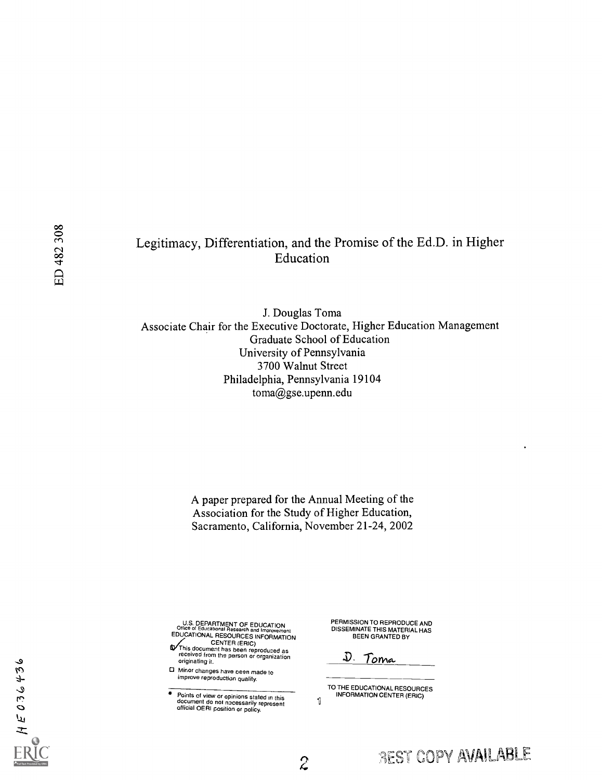## Legitimacy, Differentiation, and the Promise of the Ed.D. in Higher Education

J. Douglas Toma Associate Chair for the Executive Doctorate, Higher Education Management Graduate School of Education University of Pennsylvania 3700 Walnut Street Philadelphia, Pennsylvania 19104 toma@gse.upenn.edu

> A paper prepared for the Annual Meeting of the Association for the Study of Higher Education, Sacramento, California, November 21-24, 2002

> > $\mathbf{1}$

 $\hat{z}$ 

U.S. DEPARTMENT OF EDUCATION Office of Educational Research and Imorovernent EDUCATIONAL RESOURCES INFORMATION<br>
CENTER (ERIC)<br>This document has been reproduced as<br>
received from the person or organization<br>
received from the person or organization

- originating it.
- iCS 0 Minor changes have been made to improve reproduction quality.

Points of view or opinions stated in this document do not nacessarily represent official OERI position or policy.

PERMISSION TO REPRODUCE AND DISSEMINATE THIS MATERIAL HAS BEEN GRANTED BY

D. To<u>ma</u>

TO THE EDUCATIONAL RESOURCES INFORMATION CENTER (ERIC)

 $\mathcal{A}$  -  $\mathcal{A}$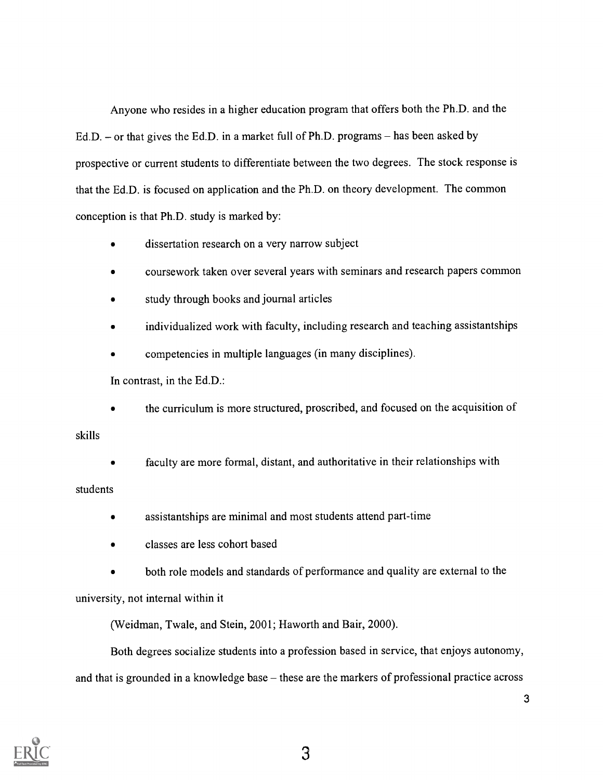Anyone who resides in a higher education program that offers both the Ph.D. and the Ed.D.  $-$  or that gives the Ed.D. in a market full of Ph.D. programs  $-$  has been asked by prospective or current students to differentiate between the two degrees. The stock response is that the Ed.D. is focused on application and the Ph.D. on theory development. The common conception is that Ph.D. study is marked by:

- dissertation research on a very narrow subject
- coursework taken over several years with seminars and research papers common
- study through books and journal articles
- individualized work with faculty, including research and teaching assistantships
- competencies in multiple languages (in many disciplines).

In contrast, in the Ed.D.:

the curriculum is more structured, proscribed, and focused on the acquisition of

skills

faculty are more formal, distant, and authoritative in their relationships with

### students

- assistantships are minimal and most students attend part-time  $\bullet$
- classes are less cohort based
- both role models and standards of performance and quality are external to the

university, not internal within it

(Weidman, Twale, and Stein, 2001; Haworth and Bair, 2000).

Both degrees socialize students into a profession based in service, that enjoys autonomy, and that is grounded in a knowledge base – these are the markers of professional practice across

 $\overline{3}$ 

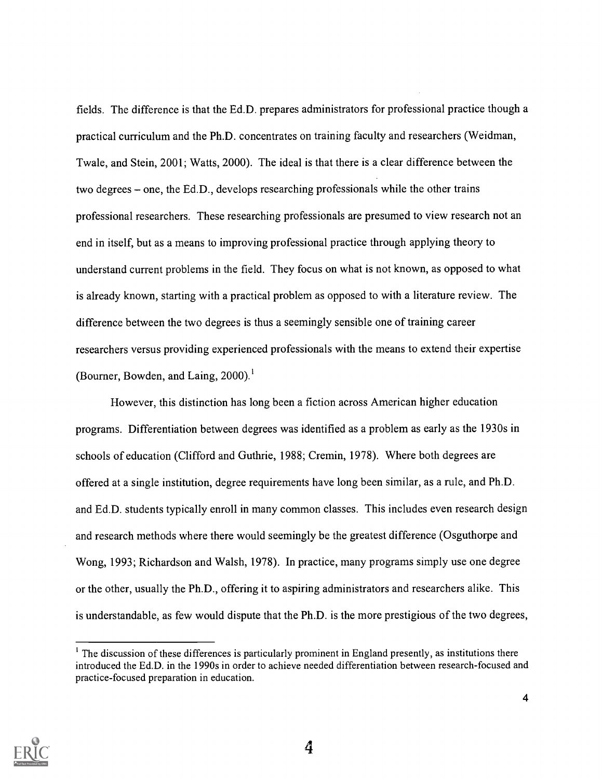fields. The difference is that the Ed.D. prepares administrators for professional practice though a practical curriculum and the Ph.D. concentrates on training faculty and researchers (Weidman, Twale, and Stein, 2001; Watts, 2000). The ideal is that there is a clear difference between the two degrees  $-$  one, the Ed.D., develops researching professionals while the other trains professional researchers. These researching professionals are presumed to view research not an end in itself, but as a means to improving professional practice through applying theory to understand current problems in the field. They focus on what is not known, as opposed to what is already known, starting with a practical problem as opposed to with a literature review. The difference between the two degrees is thus a seemingly sensible one of training career researchers versus providing experienced professionals with the means to extend their expertise (Bourner, Bowden, and Laing,  $2000$ ).<sup>1</sup>

However, this distinction has long been a fiction across American higher education programs. Differentiation between degrees was identified as a problem as early as the 1930s in schools of education (Clifford and Guthrie, 1988; Cremin, 1978). Where both degrees are offered at a single institution, degree requirements have long been similar, as a rule, and Ph.D. and Ed.D. students typically enroll in many common classes. This includes even research design and research methods where there would seemingly be the greatest difference (Osguthorpe and Wong, 1993; Richardson and Walsh, 1978). In practice, many programs simply use one degree or the other, usually the Ph.D., offering it to aspiring administrators and researchers alike. This is understandable, as few would dispute that the Ph.D. is the more prestigious of the two degrees,

<sup>&</sup>lt;sup>1</sup> The discussion of these differences is particularly prominent in England presently, as institutions there introduced the Ed.D. in the 1990s in order to achieve needed differentiation between research-focused and practice-focused preparation in education.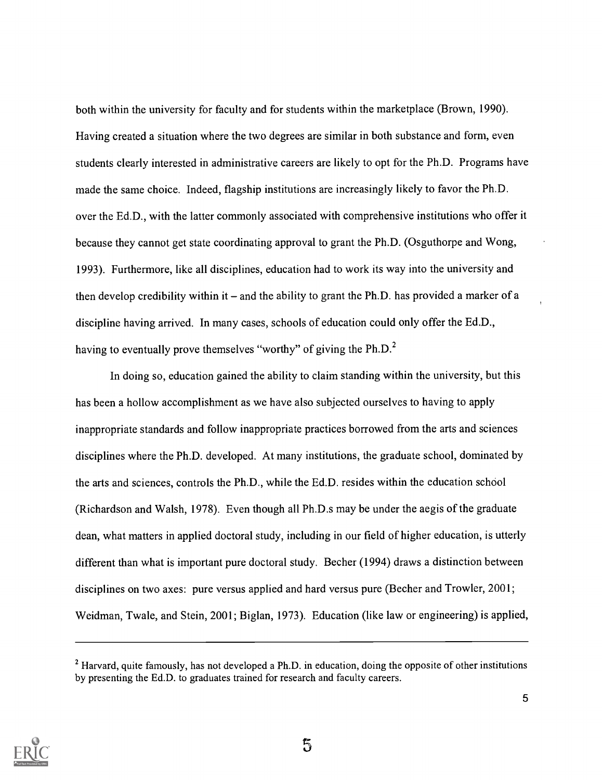both within the university for faculty and for students within the marketplace (Brown, 1990). Having created a situation where the two degrees are similar in both substance and form, even students clearly interested in administrative careers are likely to opt for the Ph.D. Programs have made the same choice. Indeed, flagship institutions are increasingly likely to favor the Ph.D. over the Ed.D., with the latter commonly associated with comprehensive institutions who offer it because they cannot get state coordinating approval to grant the Ph.D. (Osguthorpe and Wong, 1993). Furthermore, like all disciplines, education had to work its way into the university and then develop credibility within it  $-$  and the ability to grant the Ph.D. has provided a marker of a discipline having arrived. In many cases, schools of education could only offer the Ed.D., having to eventually prove themselves "worthy" of giving the  $Ph.D.<sup>2</sup>$ 

In doing so, education gained the ability to claim standing within the university, but this has been a hollow accomplishment as we have also subjected ourselves to having to apply inappropriate standards and follow inappropriate practices borrowed from the arts and sciences disciplines where the Ph.D. developed. At many institutions, the graduate school, dominated by the arts and sciences, controls the Ph.D., while the Ed.D. resides within the education school (Richardson and Walsh, 1978). Even though all Ph.D.s may be under the aegis of the graduate dean, what matters in applied doctoral study, including in our field of higher education, is utterly different than what is important pure doctoral study. Becher (1994) draws a distinction between disciplines on two axes: pure versus applied and hard versus pure (Becher and Trowler, 2001; Weidman, Twale, and Stein, 2001; Biglan, 1973). Education (like law or engineering) is applied,



 $2$  Harvard, quite famously, has not developed a Ph.D. in education, doing the opposite of other institutions by presenting the Ed.D. to graduates trained for research and faculty careers.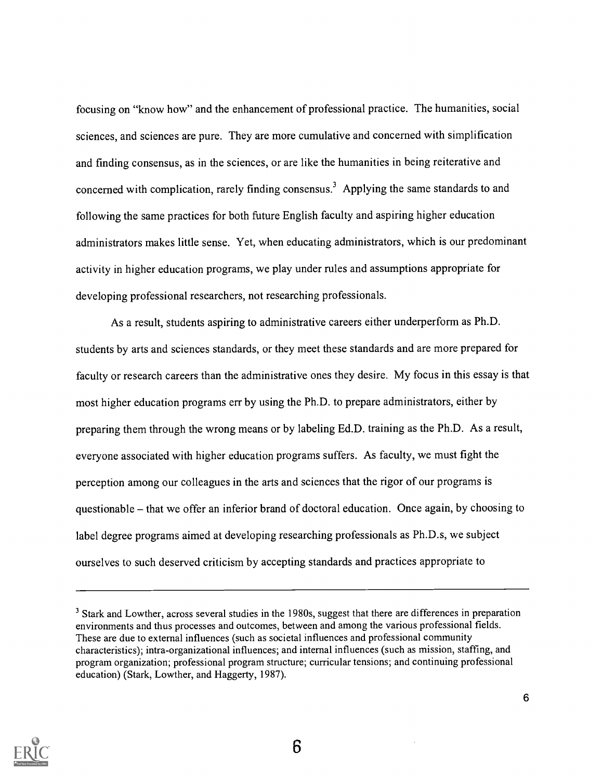focusing on "know how" and the enhancement of professional practice. The humanities, social sciences, and sciences are pure. They are more cumulative and concerned with simplification and finding consensus, as in the sciences, or are like the humanities in being reiterative and concerned with complication, rarely finding consensus.<sup>3</sup> Applying the same standards to and following the same practices for both future English faculty and aspiring higher education administrators makes little sense. Yet, when educating administrators, which is our predominant activity in higher education programs, we play under rules and assumptions appropriate for developing professional researchers, not researching professionals.

As a result, students aspiring to administrative careers either underperform as Ph.D. students by arts and sciences standards, or they meet these standards and are more prepared for faculty or research careers than the administrative ones they desire. My focus in this essay is that most higher education programs err by using the Ph.D. to prepare administrators, either by preparing them through the wrong means or by labeling Ed.D. training as the Ph.D. As a result, everyone associated with higher education programs suffers. As faculty, we must fight the perception among our colleagues in the arts and sciences that the rigor of our programs is questionable - that we offer an inferior brand of doctoral education. Once again, by choosing to label degree programs aimed at developing researching professionals as Ph.D.s, we subject ourselves to such deserved criticism by accepting standards and practices appropriate to



<sup>&</sup>lt;sup>3</sup> Stark and Lowther, across several studies in the 1980s, suggest that there are differences in preparation environments and thus processes and outcomes, between and among the various professional fields. These are due to external influences (such as societal influences and professional community characteristics); intra-organizational influences; and internal influences (such as mission, staffing, and program organization; professional program structure; curricular tensions; and continuing professional education) (Stark, Lowther, and Haggerty, 1987).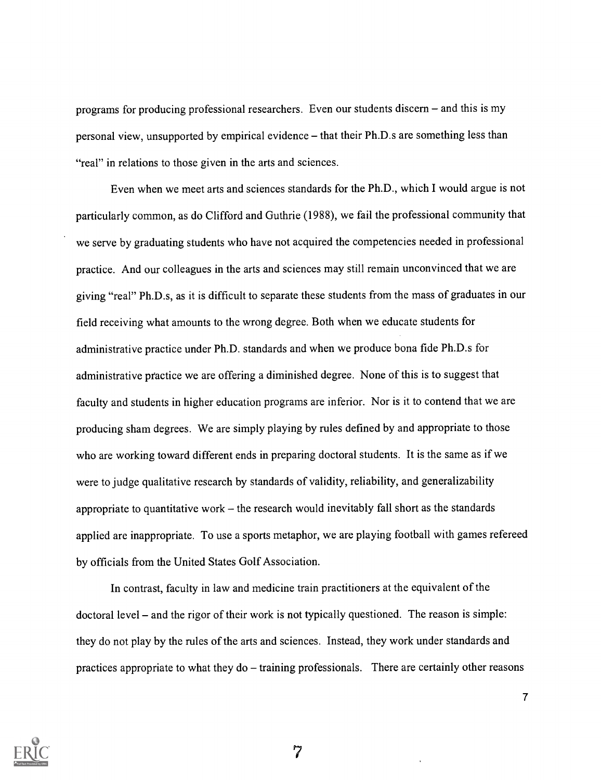programs for producing professional researchers. Even our students discern – and this is my personal view, unsupported by empirical evidence - that their Ph.D.s are something less than "real" in relations to those given in the arts and sciences.

Even when we meet arts and sciences standards for the Ph.D., which I would argue is not particularly common, as do Clifford and Guthrie (1988), we fail the professional community that we serve by graduating students who have not acquired the competencies needed in professional practice. And our colleagues in the arts and sciences may still remain unconvinced that we are giving "real" Ph.D.s, as it is difficult to separate these students from the mass of graduates in our field receiving what amounts to the wrong degree. Both when we educate students for administrative practice under Ph.D. standards and when we produce bona fide Ph.D.s for administrative practice we are offering a diminished degree. None of this is to suggest that faculty and students in higher education programs are inferior. Nor is it to contend that we are producing sham degrees. We are simply playing by rules defined by and appropriate to those who are working toward different ends in preparing doctoral students. It is the same as if we were to judge qualitative research by standards of validity, reliability, and generalizability appropriate to quantitative work  $-$  the research would inevitably fall short as the standards applied are inappropriate. To use a sports metaphor, we are playing football with games refereed by officials from the United States Golf Association.

In contrast, faculty in law and medicine train practitioners at the equivalent of the doctoral level – and the rigor of their work is not typically questioned. The reason is simple: they do not play by the rules of the arts and sciences. Instead, they work under standards and practices appropriate to what they do – training professionals. There are certainly other reasons



7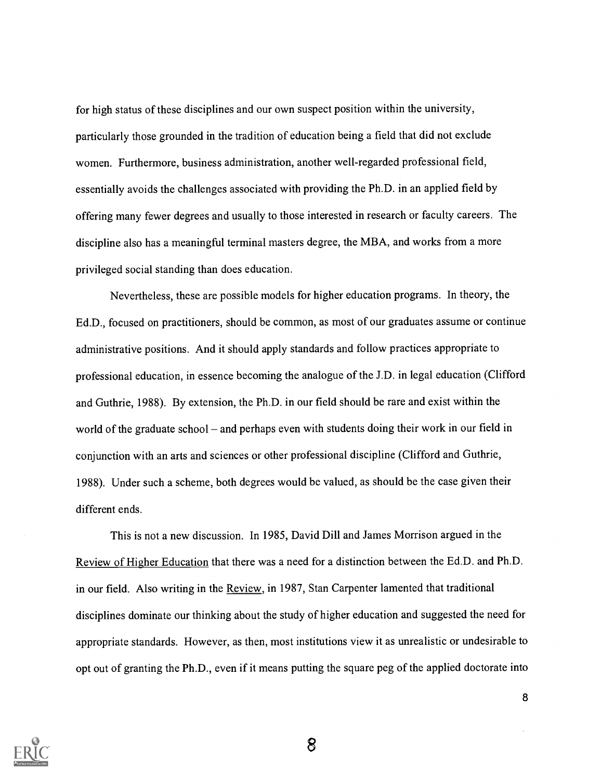for high status of these disciplines and our own suspect position within the university, particularly those grounded in the tradition of education being a field that did not exclude women. Furthermore, business administration, another well-regarded professional field, essentially avoids the challenges associated with providing the Ph.D. in an applied field by offering many fewer degrees and usually to those interested in research or faculty careers. The discipline also has a meaningful terminal masters degree, the MBA, and works from a more privileged social standing than does education.

Nevertheless, these are possible models for higher education programs. In theory, the Ed.D., focused on practitioners, should be common, as most of our graduates assume or continue administrative positions. And it should apply standards and follow practices appropriate to professional education, in essence becoming the analogue of the J.D. in legal education (Clifford and Guthrie, 1988). By extension, the Ph.D. in our field should be rare and exist within the world of the graduate school – and perhaps even with students doing their work in our field in conjunction with an arts and sciences or other professional discipline (Clifford and Guthrie, 1988). Under such a scheme, both degrees would be valued, as should be the case given their different ends.

This is not a new discussion. In 1985, David Dill and James Morrison argued in the Review of Higher Education that there was a need for a distinction between the Ed.D. and Ph.D. in our field. Also writing in the Review, in 1987, Stan Carpenter lamented that traditional disciplines dominate our thinking about the study of higher education and suggested the need for appropriate standards. However, as then, most institutions view it as unrealistic or undesirable to opt out of granting the Ph.D., even if it means putting the square peg of the applied doctorate into

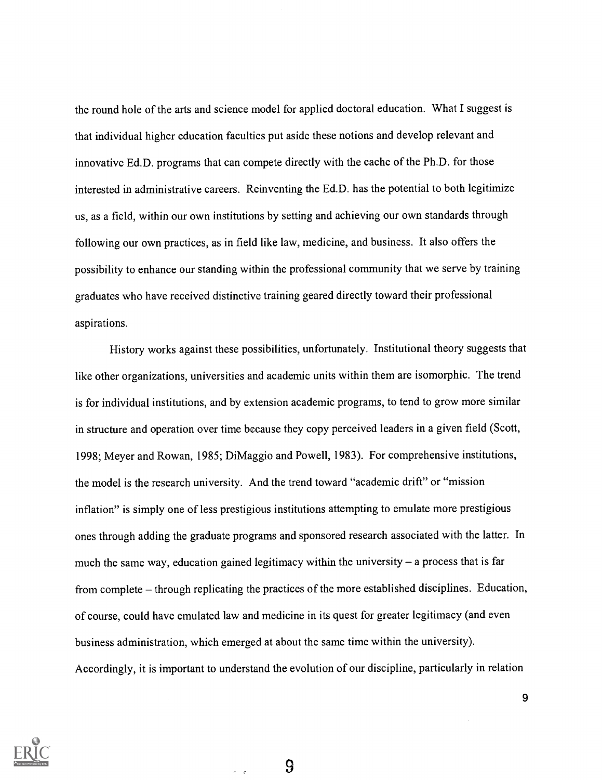the round hole of the arts and science model for applied doctoral education. What I suggest is that individual higher education faculties put aside these notions and develop relevant and innovative Ed.D. programs that can compete directly with the cache of the Ph.D. for those interested in administrative careers. Reinventing the Ed.D. has the potential to both legitimize us, as a field, within our own institutions by setting and achieving our own standards through following our own practices, as in field like law, medicine, and business. It also offers the possibility to enhance our standing within the professional community that we serve by training graduates who have received distinctive training geared directly toward their professional aspirations.

History works against these possibilities, unfortunately. Institutional theory suggests that like other organizations, universities and academic units within them are isomorphic. The trend is for individual institutions, and by extension academic programs, to tend to grow more similar in structure and operation over time because they copy perceived leaders in a given field (Scott, 1998; Meyer and Rowan, 1985; DiMaggio and Powell, 1983). For comprehensive institutions, the model is the research university. And the trend toward "academic drift" or "mission inflation" is simply one of less prestigious institutions attempting to emulate more prestigious ones through adding the graduate programs and sponsored research associated with the latter. In much the same way, education gained legitimacy within the university  $-$  a process that is far from complete – through replicating the practices of the more established disciplines. Education, of course, could have emulated law and medicine in its quest for greater legitimacy (and even business administration, which emerged at about the same time within the university). Accordingly, it is important to understand the evolution of our discipline, particularly in relation



9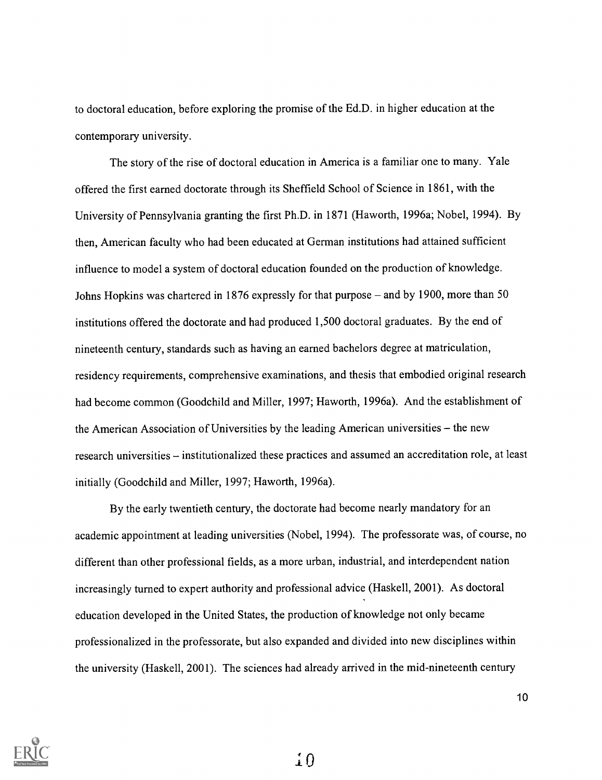to doctoral education, before exploring the promise of the Ed.D. in higher education at the contemporary university.

The story of the rise of doctoral education in America is a familiar one to many. Yale offered the first earned doctorate through its Sheffield School of Science in 1861, with the University of Pennsylvania granting the first Ph.D. in 1871 (Haworth, 1996a; Nobel, 1994). By then, American faculty who had been educated at German institutions had attained sufficient influence to model a system of doctoral education founded on the production of knowledge. Johns Hopkins was chartered in 1876 expressly for that purpose  $-$  and by 1900, more than 50 institutions offered the doctorate and had produced 1,500 doctoral graduates. By the end of nineteenth century, standards such as having an earned bachelors degree at matriculation, residency requirements, comprehensive examinations, and thesis that embodied original research had become common (Goodchild and Miller, 1997; Haworth, 1996a). And the establishment of the American Association of Universities by the leading American universities - the new research universities – institutionalized these practices and assumed an accreditation role, at least initially (Goodchild and Miller, 1997; Haworth, 1996a).

By the early twentieth century, the doctorate had become nearly mandatory for an academic appointment at leading universities (Nobel, 1994). The professorate was, of course, no different than other professional fields, as a more urban, industrial, and interdependent nation increasingly turned to expert authority and professional advice (Haskell, 2001). As doctoral education developed in the United States, the production of knowledge not only became professionalized in the professorate, but also expanded and divided into new disciplines within the university (Haskell, 2001). The sciences had already arrived in the mid-nineteenth century

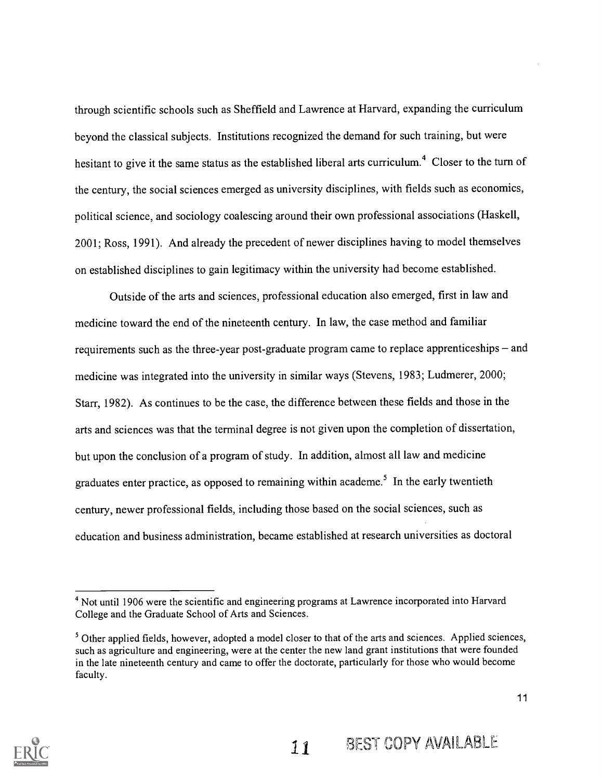through scientific schools such as Sheffield and Lawrence at Harvard, expanding the curriculum beyond the classical subjects. Institutions recognized the demand for such training, but were hesitant to give it the same status as the established liberal arts curriculum.<sup>4</sup> Closer to the turn of the century, the social sciences emerged as university disciplines, with fields such as economics, political science, and sociology coalescing around their own professional associations (Haskell, 2001; Ross, 1991). And already the precedent of newer disciplines having to model themselves on established disciplines to gain legitimacy within the university had become established.

Outside of the arts and sciences, professional education also emerged, first in law and medicine toward the end of the nineteenth century. In law, the case method and familiar requirements such as the three-year post-graduate program came to replace apprenticeships  $-$  and medicine was integrated into the university in similar ways (Stevens, 1983; Ludmerer, 2000; Starr, 1982). As continues to be the case, the difference between these fields and those in the arts and sciences was that the terminal degree is not given upon the completion of dissertation, but upon the conclusion of a program of study. In addition, almost all law and medicine graduates enter practice, as opposed to remaining within academe.<sup>5</sup> In the early twentieth century, newer professional fields, including those based on the social sciences, such as education and business administration, became established at research universities as doctoral



<sup>&</sup>lt;sup>4</sup> Not until 1906 were the scientific and engineering programs at Lawrence incorporated into Harvard College and the Graduate School of Arts and Sciences.

<sup>&</sup>lt;sup>5</sup> Other applied fields, however, adopted a model closer to that of the arts and sciences. Applied sciences, such as agriculture and engineering, were at the center the new land grant institutions that were founded in the late nineteenth century and came to offer the doctorate, particularly for those who would become faculty.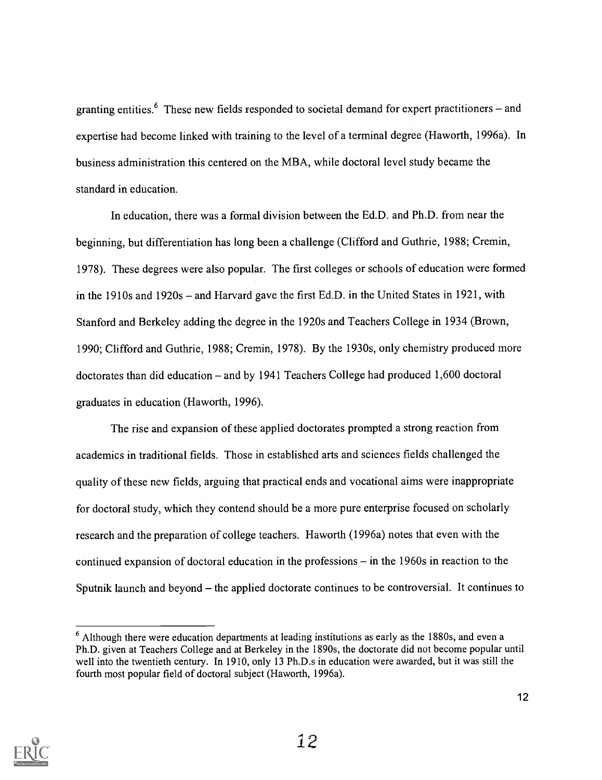granting entities.<sup>6</sup> These new fields responded to societal demand for expert practitioners – and expertise had become linked with training to the level of a terminal degree (Haworth, 1996a). In business administration this centered on the MBA, while doctoral level study became the standard in education.

In education, there was a formal division between the Ed.D. and Ph.D. from near the beginning, but differentiation has long been a challenge (Clifford and Guthrie, 1988; Cremin, 1978). These degrees were also popular. The first colleges or schools of education were formed in the 1910s and 1920s – and Harvard gave the first Ed.D. in the United States in 1921, with Stanford and Berkeley adding the degree in the 1920s and Teachers College in 1934 (Brown, 1990; Clifford and Guthrie, 1988; Cremin, 1978). By the 1930s, only chemistry produced more doctorates than did education  $-$  and by 1941 Teachers College had produced 1,600 doctoral graduates in education (Haworth, 1996).

The rise and expansion of these applied doctorates prompted a strong reaction from academics in traditional fields. Those in established arts and sciences fields challenged the quality of these new fields, arguing that practical ends and vocational aims were inappropriate for doctoral study, which they contend should be a more pure enterprise focused on scholarly research and the preparation of college teachers. Haworth (1996a) notes that even with the continued expansion of doctoral education in the professions  $-$  in the 1960s in reaction to the Sputnik launch and beyond  $-$  the applied doctorate continues to be controversial. It continues to



 $6$  Although there were education departments at leading institutions as early as the 1880s, and even a Ph.D. given at Teachers College and at Berkeley in the 1890s, the doctorate did not become popular until well into the twentieth century. In 1910, only 13 Ph.D.s in education were awarded, but it was still the fourth most popular field of doctoral subject (Haworth, 1996a).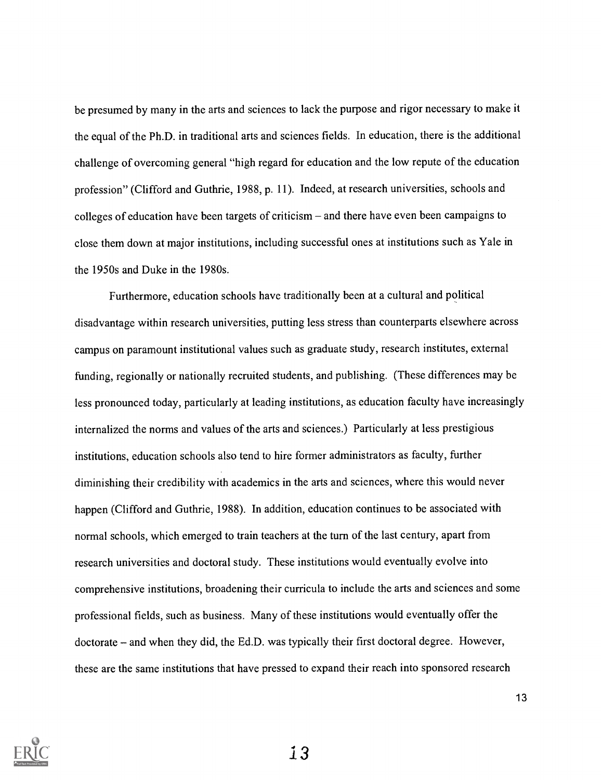be presumed by many in the arts and sciences to lack the purpose and rigor necessary to make it the equal of the Ph.D. in traditional arts and sciences fields. In education, there is the additional challenge of overcoming general "high regard for education and the low repute of the education profession" (Clifford and Guthrie, 1988, p. 11). Indeed, at research universities, schools and colleges of education have been targets of criticism  $-$  and there have even been campaigns to close them down at major institutions, including successful ones at institutions such as Yale in the 1950s and Duke in the 1980s.

Furthermore, education schools have traditionally been at a cultural and political disadvantage within research universities, putting less stress than counterparts elsewhere across campus on paramount institutional values such as graduate study, research institutes, external funding, regionally or nationally recruited students, and publishing. (These differences may be less pronounced today, particularly at leading institutions, as education faculty have increasingly internalized the norms and values of the arts and sciences.) Particularly at less prestigious institutions, education schools also tend to hire former administrators as faculty, further diminishing their credibility with academics in the arts and sciences, where this would never happen (Clifford and Guthrie, 1988). In addition, education continues to be associated with normal schools, which emerged to train teachers at the turn of the last century, apart from research universities and doctoral study. These institutions would eventually evolve into comprehensive institutions, broadening their curricula to include the arts and sciences and some professional fields, such as business. Many of these institutions would eventually offer the doctorate – and when they did, the Ed.D. was typically their first doctoral degree. However, these are the same institutions that have pressed to expand their reach into sponsored research

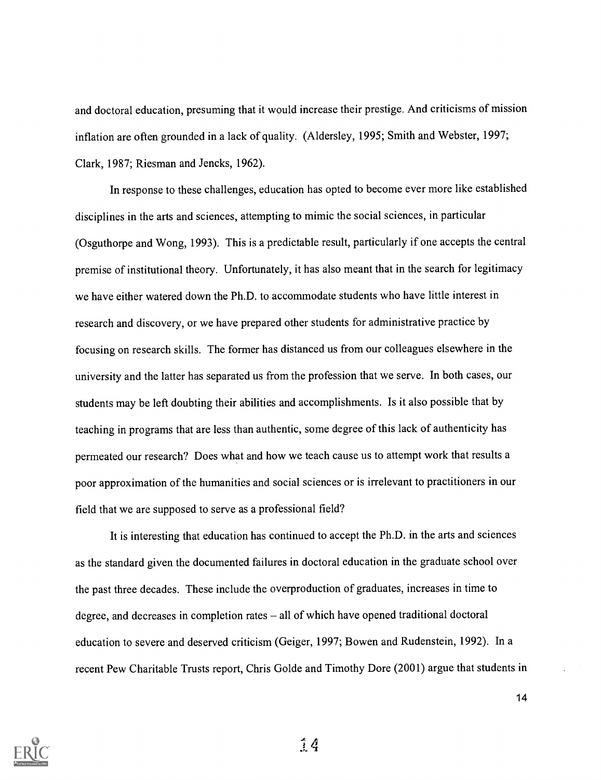and doctoral education, presuming that it would increase their prestige. And criticisms of mission inflation are often grounded in a lack of quality. (Aldersley, 1995; Smith and Webster, 1997; Clark, 1987; Riesman and Jencks, 1962).

In response to these challenges, education has opted to become ever more like established disciplines in the arts and sciences, attempting to mimic the social sciences, in particular (Osguthorpe and Wong, 1993). This is a predictable result, particularly if one accepts the central premise of institutional theory. Unfortunately, it has also meant that in the search for legitimacy we have either watered down the Ph.D. to accommodate students who have little interest in research and discovery, or we have prepared other students for administrative practice by focusing on research skills. The former has distanced us from our colleagues elsewhere in the university and the latter has separated us from the profession that we serve. In both cases, our students may be left doubting their abilities and accomplishments. Is it also possible that by teaching in programs that are less than authentic, some degree of this lack of authenticity has permeated our research? Does what and how we teach cause us to attempt work that results a poor approximation of the humanities and social sciences or is irrelevant to practitioners in our field that we are supposed to serve as a professional field?

It is interesting that education has continued to accept the Ph.D. in the arts and sciences as the standard given the documented failures in doctoral education in the graduate school over the past three decades. These include the overproduction of graduates, increases in time to degree, and decreases in completion rates  $-$  all of which have opened traditional doctoral education to severe and deserved criticism (Geiger, 1997; Bowen and Rudenstein, 1992). In a recent Pew Charitable Trusts report, Chris Golde and Timothy Dore (2001) argue that students in



 $\frac{1}{2}$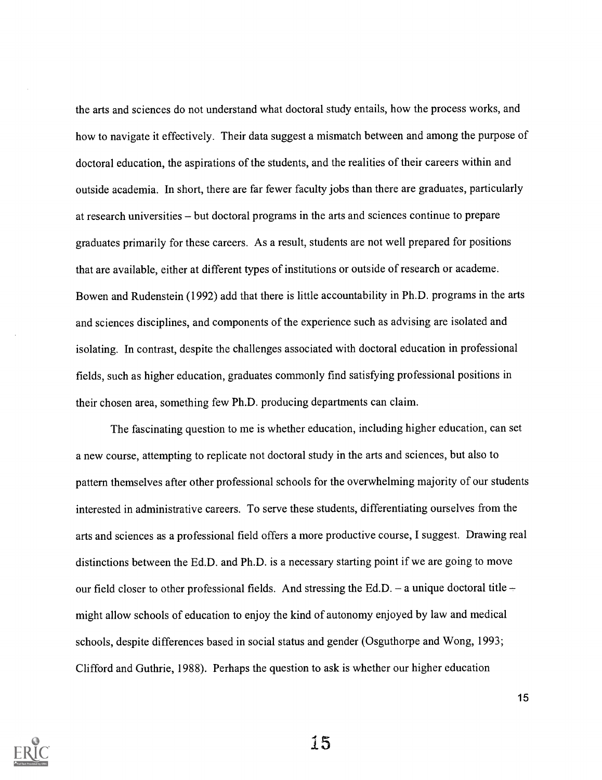the arts and sciences do not understand what doctoral study entails, how the process works, and how to navigate it effectively. Their data suggest a mismatch between and among the purpose of doctoral education, the aspirations of the students, and the realities of their careers within and outside academia. In short, there are far fewer faculty jobs than there are graduates, particularly at research universities – but doctoral programs in the arts and sciences continue to prepare graduates primarily for these careers. As a result, students are not well prepared for positions that are available, either at different types of institutions or outside of research or academe. Bowen and Rudenstein (1992) add that there is little accountability in Ph.D. programs in the arts and sciences disciplines, and components of the experience such as advising are isolated and isolating. In contrast, despite the challenges associated with doctoral education in professional fields, such as higher education, graduates commonly find satisfying professional positions in their chosen area, something few Ph.D. producing departments can claim.

The fascinating question to me is whether education, including higher education, can set a new course, attempting to replicate not doctoral study in the arts and sciences, but also to pattern themselves after other professional schools for the overwhelming majority of our students interested in administrative careers. To serve these students, differentiating ourselves from the arts and sciences as a professional field offers a more productive course, I suggest. Drawing real distinctions between the Ed.D. and Ph.D. is a necessary starting point if we are going to move our field closer to other professional fields. And stressing the Ed.D. – a unique doctoral title – might allow schools of education to enjoy the kind of autonomy enjoyed by law and medical schools, despite differences based in social status and gender (Osguthorpe and Wong, 1993; Clifford and Guthrie, 1988). Perhaps the question to ask is whether our higher education



15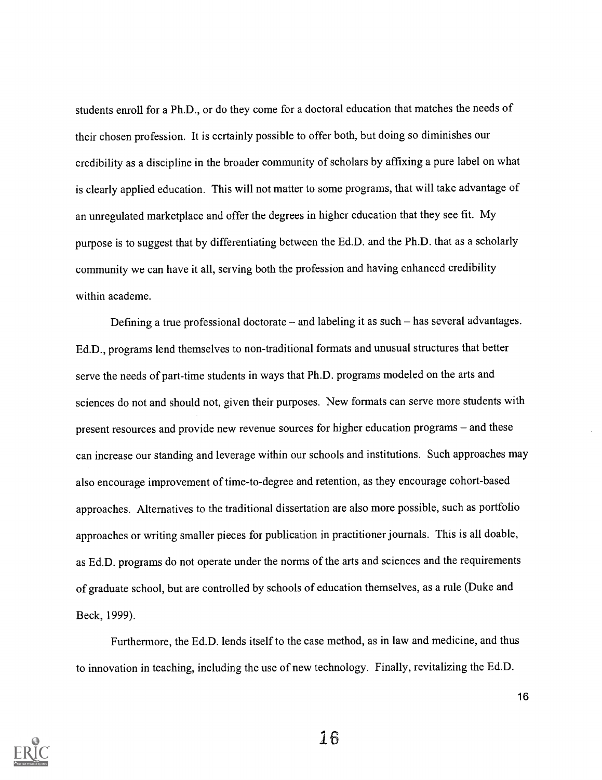students enroll for a Ph.D., or do they come for a doctoral education that matches the needs of their chosen profession. It is certainly possible to offer both, but doing so diminishes our credibility as a discipline in the broader community of scholars by affixing a pure label on what is clearly applied education. This will not matter to some programs, that will take advantage of an unregulated marketplace and offer the degrees in higher education that they see fit. My purpose is to suggest that by differentiating between the Ed.D. and the Ph.D. that as a scholarly community we can have it all, serving both the profession and having enhanced credibility within academe.

Defining a true professional doctorate  $-$  and labeling it as such  $-$  has several advantages. Ed.D., programs lend themselves to non-traditional formats and unusual structures that better serve the needs of part-time students in ways that Ph.D. programs modeled on the arts and sciences do not and should not, given their purposes. New formats can serve more students with present resources and provide new revenue sources for higher education programs – and these can increase our standing and leverage within our schools and institutions. Such approaches may also encourage improvement of time-to-degree and retention, as they encourage cohort-based approaches. Alternatives to the traditional dissertation are also more possible, such as portfolio approaches or writing smaller pieces for publication in practitioner journals. This is all doable, as Ed.D. programs do not operate under the norms of the arts and sciences and the requirements of graduate school, but are controlled by schools of education themselves, as a rule (Duke and Beck, 1999).

Furthermore, the Ed.D. lends itself to the case method, as in law and medicine, and thus to innovation in teaching, including the use of new technology. Finally, revitalizing the Ed.D.



16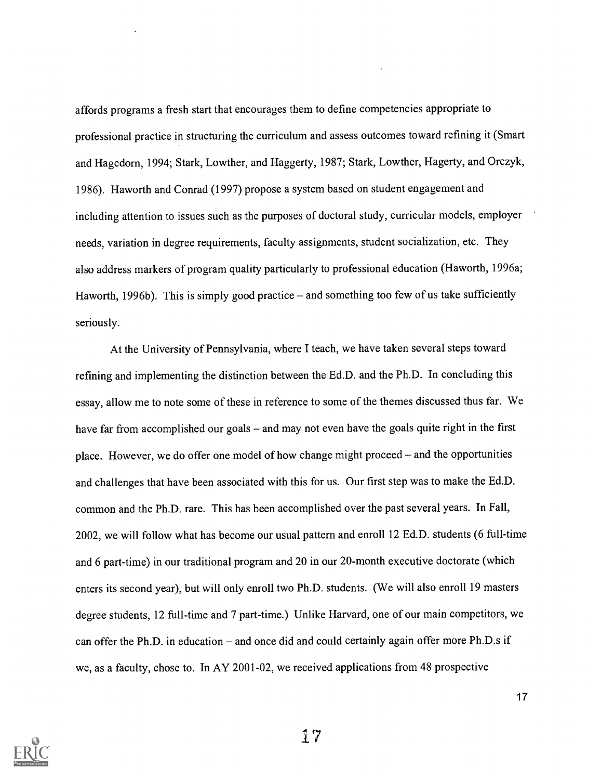affords programs a fresh start that encourages them to define competencies appropriate to professional practice in structuring the curriculum and assess outcomes toward refining it (Smart and Hagedorn, 1994; Stark, Lowther, and Haggerty, 1987; Stark, Lowther, Hagerty, and Orczyk, 1986). Haworth and Conrad (1997) propose a system based on student engagement and including attention to issues such as the purposes of doctoral study, curricular models, employer needs, variation in degree requirements, faculty assignments, student socialization, etc. They also address markers of program quality particularly to professional education (Haworth, 1996a; Haworth, 1996b). This is simply good practice – and something too few of us take sufficiently seriously.

At the University of Pennsylvania, where I teach, we have taken several steps toward refining and implementing the distinction between the Ed.D. and the Ph.D. In concluding this essay, allow me to note some of these in reference to some of the themes discussed thus far. We have far from accomplished our goals - and may not even have the goals quite right in the first place. However, we do offer one model of how change might proceed – and the opportunities and challenges that have been associated with this for us. Our first step was to make the Ed.D. common and the Ph.D. rare. This has been accomplished over the past several years. In Fall, 2002, we will follow what has become our usual pattern and enroll 12 Ed.D. students (6 full-time and 6 part-time) in our traditional program and 20 in our 20-month executive doctorate (which enters its second year), but will only enroll two Ph.D. students. (We will also enroll 19 masters degree students, 12 full-time and 7 part-time.) Unlike Harvard, one of our main competitors, we can offer the Ph.D. in education  $-$  and once did and could certainly again offer more Ph.D.s if we, as a faculty, chose to. In AY 2001-02, we received applications from 48 prospective



17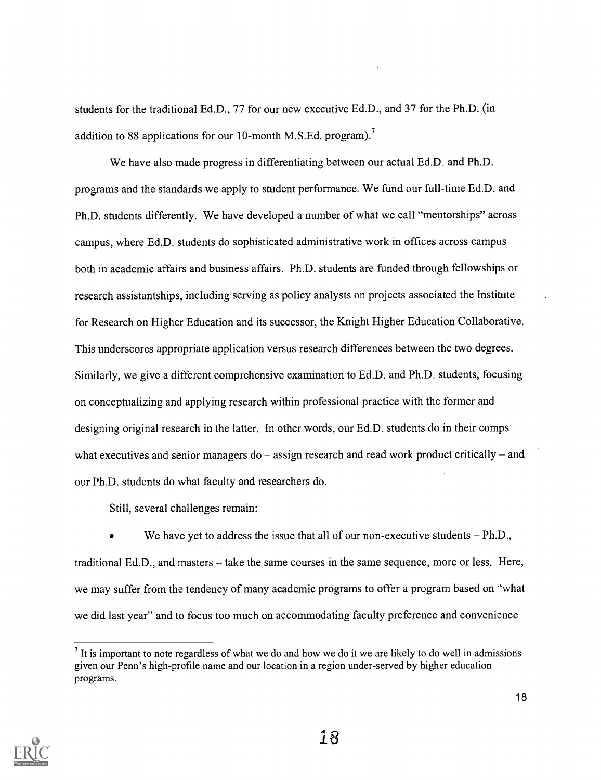students for the traditional Ed.D., 77 for our new executive Ed.D., and 37 for the Ph.D. (in addition to 88 applications for our 10-month M.S.Ed. program).<sup>7</sup>

We have also made progress in differentiating between our actual Ed.D. and Ph.D. programs and the standards we apply to student performance. We fund our full-time Ed.D. and Ph.D. students differently. We have developed a number of what we call "mentorships" across campus, where Ed.D. students do sophisticated administrative work in offices across campus both in academic affairs and business affairs. Ph.D. students are funded through fellowships or research assistantships, including serving as policy analysts on projects associated the Institute for Research on Higher Education and its successor, the Knight Higher Education Collaborative. This underscores appropriate application versus research differences between the two degrees. Similarly, we give a different comprehensive examination to Ed.D. and Ph.D. students, focusing on conceptualizing and applying research within professional practice with the former and designing original research in the latter. In other words, our Ed.D. students do in their comps what executives and senior managers do  $-$  assign research and read work product critically  $-$  and our Ph.D. students do what faculty and researchers do.

Still, several challenges remain:

We have yet to address the issue that all of our non-executive students  $-Ph.D.,$ traditional Ed.D., and masters  $-$  take the same courses in the same sequence, more or less. Here, we may suffer from the tendency of many academic programs to offer a program based on "what we did last year" and to focus too much on accommodating faculty preference and convenience



 $<sup>7</sup>$  It is important to note regardless of what we do and how we do it we are likely to do well in admissions</sup> given our Penn's high-profile name and our location in a region under-served by higher education programs.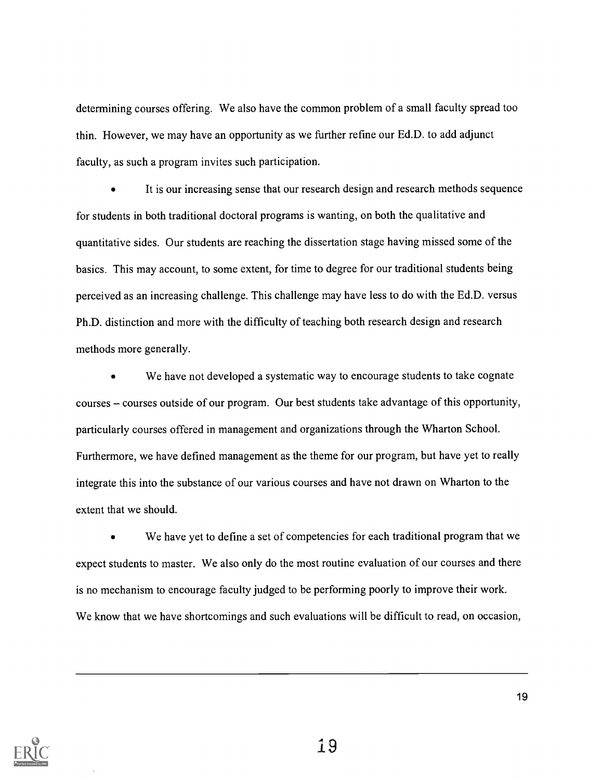determining courses offering. We also have the common problem of a small faculty spread too thin. However, we may have an opportunity as we further refine our Ed.D. to add adjunct faculty, as such a program invites such participation.

It is our increasing sense that our research design and research methods sequence for students in both traditional doctoral programs is wanting, on both the qualitative and quantitative sides. Our students are reaching the dissertation stage having missed some of the basics. This may account, to some extent, for time to degree for our traditional students being perceived as an increasing challenge. This challenge may have less to do with the Ed.D. versus Ph.D. distinction and more with the difficulty of teaching both research design and research methods more generally.

We have not developed a systematic way to encourage students to take cognate courses - courses outside of our program. Our best students take advantage of this opportunity, particularly courses offered in management and organizations through the Wharton School. Furthermore, we have defined management as the theme for our program, but have yet to really integrate this into the substance of our various courses and have not drawn on Wharton to the extent that we should.

We have yet to define a set of competencies for each traditional program that we expect students to master. We also only do the most routine evaluation of our courses and there is no mechanism to encourage faculty judged to be performing poorly to improve their work. We know that we have shortcomings and such evaluations will be difficult to read, on occasion,

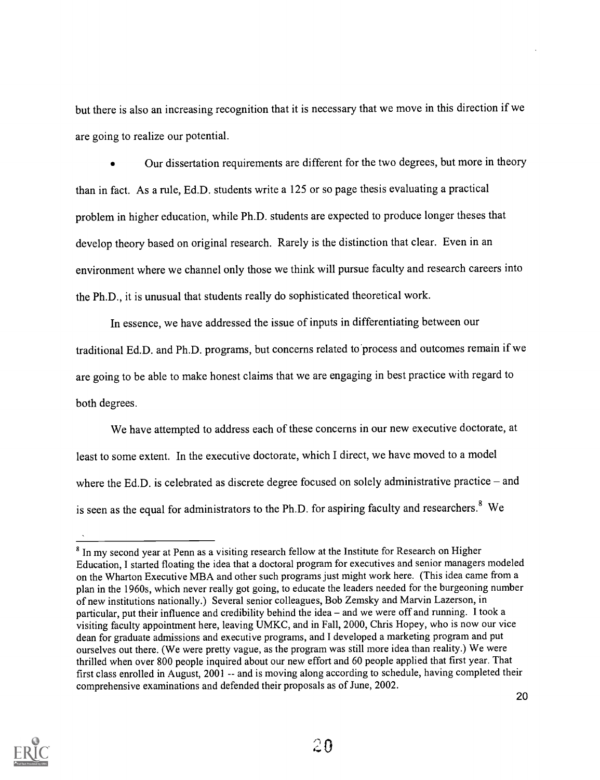but there is also an increasing recognition that it is necessary that we move in this direction if we are going to realize our potential.

Our dissertation requirements are different for the two degrees, but more in theory than in fact. As a rule, Ed.D. students write a 125 or so page thesis evaluating a practical problem in higher education, while Ph.D. students are expected to produce longer theses that develop theory based on original research. Rarely is the distinction that clear. Even in an environment where we channel only those we think will pursue faculty and research careers into the Ph.D., it is unusual that students really do sophisticated theoretical work.

In essence, we have addressed the issue of inputs in differentiating between our traditional Ed.D. and Ph.D. programs, but concerns related to process and outcomes remain if we are going to be able to make honest claims that we are engaging in best practice with regard to both degrees.

We have attempted to address each of these concerns in our new executive doctorate, at least to some extent. In the executive doctorate, which I direct, we have moved to a model where the Ed.D. is celebrated as discrete degree focused on solely administrative practice  $-$  and is seen as the equal for administrators to the Ph.D. for aspiring faculty and researchers.<sup>8</sup> We



<sup>&</sup>lt;sup>8</sup> In my second year at Penn as a visiting research fellow at the Institute for Research on Higher Education, I started floating the idea that a doctoral program for executives and senior managers modeled on the Wharton Executive MBA and other such programs just might work here. (This idea came from a plan in the 1960s, which never really got going, to educate the leaders needed for the burgeoning number of new institutions nationally.) Several senior colleagues, Bob Zemsky and Marvin Lazerson, in particular, put their influence and credibility behind the idea – and we were off and running. I took a visiting faculty appointment here, leaving UMKC, and in Fall, 2000, Chris Hopey, who is now our vice dean for graduate admissions and executive programs, and I developed a marketing program and put ourselves out there. (We were pretty vague, as the program was still more idea than reality.) We were thrilled when over 800 people inquired about our new effort and 60 people applied that first year. That first class enrolled in August, 2001 -- and is moving along according to schedule, having completed their comprehensive examinations and defended their proposals as of June, 2002.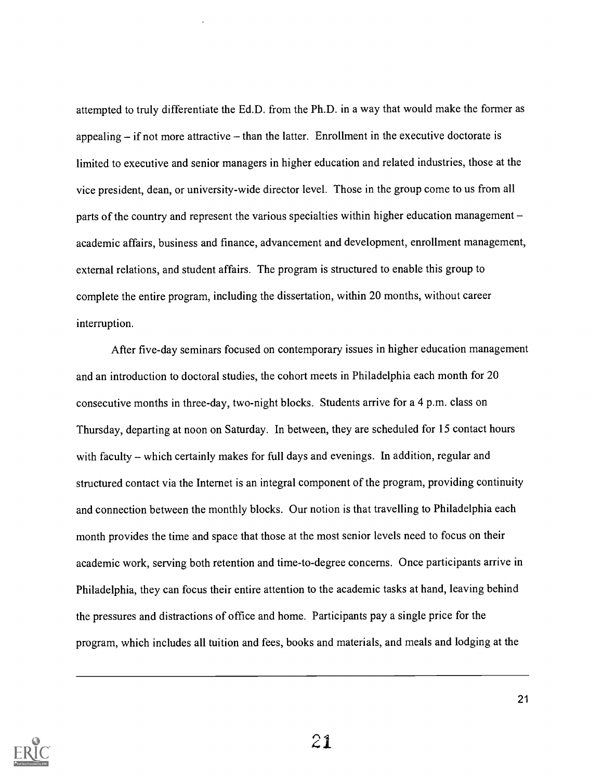attempted to truly differentiate the Ed.D. from the Ph.D. in a way that would make the former as appealing  $-$  if not more attractive  $-$  than the latter. Enrollment in the executive doctorate is limited to executive and senior managers in higher education and related industries, those at the vice president, dean, or university-wide director level. Those in the group come to us from all parts of the country and represent the various specialties within higher education management academic affairs, business and finance, advancement and development, enrollment management, external relations, and student affairs. The program is structured to enable this group to complete the entire program, including the dissertation, within 20 months, without career interruption.

After five-day seminars focused on contemporary issues in higher education management and an introduction to doctoral studies, the cohort meets in Philadelphia each month for 20 consecutive months in three-day, two-night blocks. Students arrive for a 4 p.m. class on Thursday, departing at noon on Saturday. In between, they are scheduled for 15 contact hours with faculty  $-$  which certainly makes for full days and evenings. In addition, regular and structured contact via the Internet is an integral component of the program, providing continuity and connection between the monthly blocks. Our notion is that travelling to Philadelphia each month provides the time and space that those at the most senior levels need to focus on their academic work, serving both retention and time-to-degree concerns. Once participants arrive in Philadelphia, they can focus their entire attention to the academic tasks at hand, leaving behind the pressures and distractions of office and home. Participants pay a single price for the program, which includes all tuition and fees, books and materials, and meals and lodging at the

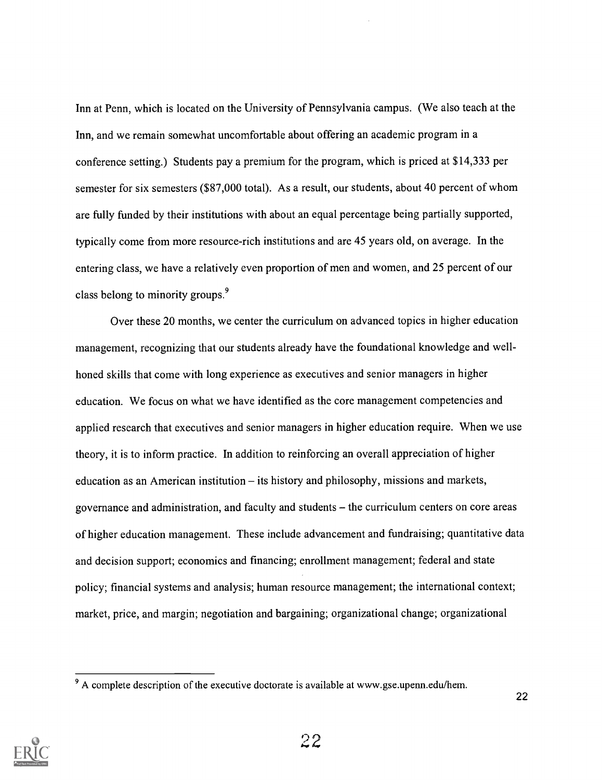Inn at Penn, which is located on the University of Pennsylvania campus. (We also teach at the Inn, and we remain somewhat uncomfortable about offering an academic program in a conference setting.) Students pay a premium for the program, which is priced at \$14,333 per semester for six semesters (\$87,000 total). As a result, our students, about 40 percent of whom are fully funded by their institutions with about an equal percentage being partially supported, typically come from more resource-rich institutions and are 45 years old, on average. In the entering class, we have a relatively even proportion of men and women, and 25 percent of our class belong to minority groups.<sup>9</sup>

Over these 20 months, we center the curriculum on advanced topics in higher education management, recognizing that our students already have the foundational knowledge and wellhoned skills that come with long experience as executives and senior managers in higher education. We focus on what we have identified as the core management competencies and applied research that executives and senior managers in higher education require. When we use theory, it is to inform practice. In addition to reinforcing an overall appreciation of higher education as an American institution  $-$  its history and philosophy, missions and markets, governance and administration, and faculty and students the curriculum centers on core areas of higher education management. These include advancement and fundraising; quantitative data and decision support; economics and financing; enrollment management; federal and state policy; financial systems and analysis; human resource management; the international context; market, price, and margin; negotiation and bargaining; organizational change; organizational



<sup>9</sup> A complete description of the executive doctorate is available at www.gse.upenn.edu/hem.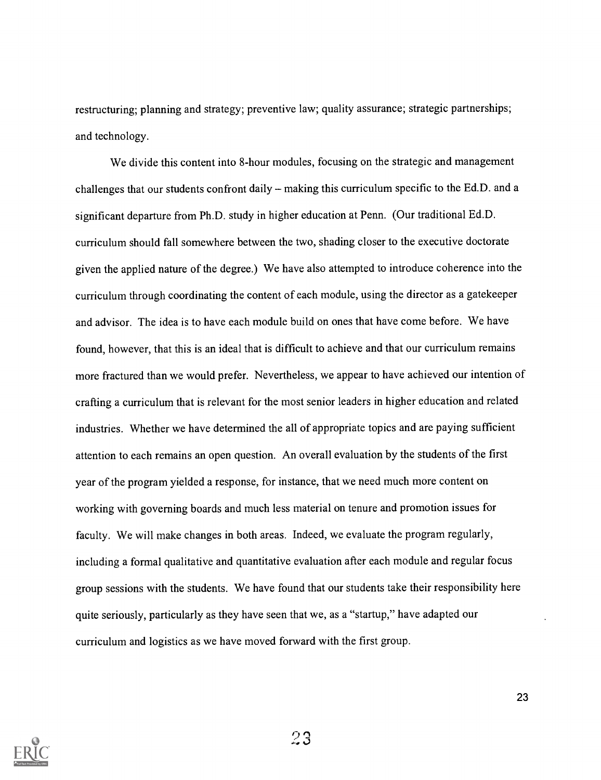restructuring; planning and strategy; preventive law; quality assurance; strategic partnerships; and technology.

We divide this content into 8-hour modules, focusing on the strategic and management challenges that our students confront daily  $-$  making this curriculum specific to the Ed.D. and a significant departure from Ph.D. study in higher education at Penn. (Our traditional Ed.D. curriculum should fall somewhere between the two, shading closer to the executive doctorate given the applied nature of the degree.) We have also attempted to introduce coherence into the curriculum through coordinating the content of each module, using the director as a gatekeeper and advisor. The idea is to have each module build on ones that have come before. We have found, however, that this is an ideal that is difficult to achieve and that our curriculum remains more fractured than we would prefer. Nevertheless, we appear to have achieved our intention of crafting a curriculum that is relevant for the most senior leaders in higher education and related industries. Whether we have determined the all of appropriate topics and are paying sufficient attention to each remains an open question. An overall evaluation by the students of the first year of the program yielded a response, for instance, that we need much more content on working with governing boards and much less material on tenure and promotion issues for faculty. We will make changes in both areas. Indeed, we evaluate the program regularly, including a formal qualitative and quantitative evaluation after each module and regular focus group sessions with the students. We have found that our students take their responsibility here quite seriously, particularly as they have seen that we, as a "startup," have adapted our curriculum and logistics as we have moved forward with the first group.



23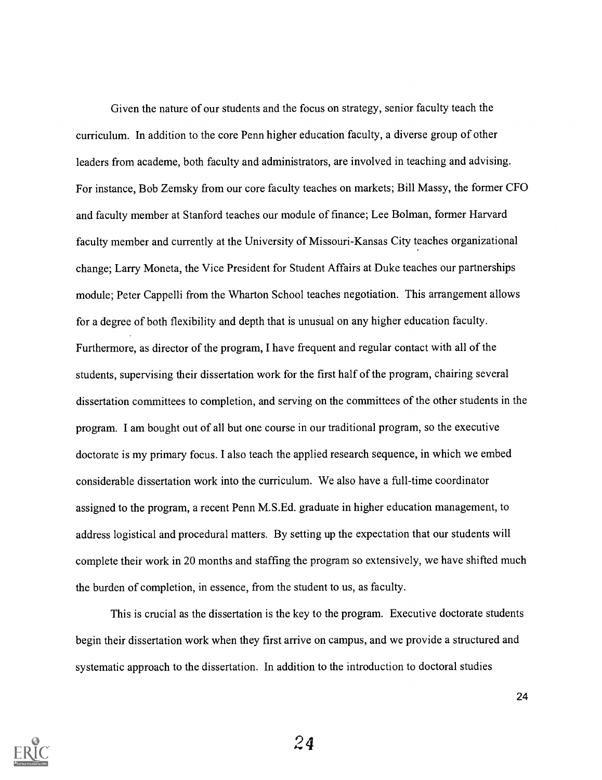Given the nature of our students and the focus on strategy, senior faculty teach the curriculum. In addition to the core Penn higher education faculty, a diverse group of other leaders from academe, both faculty and administrators, are involved in teaching and advising. For instance, Bob Zemsky from our core faculty teaches on markets; Bill Massy, the former CFO and faculty member at Stanford teaches our module of finance; Lee Bolman, former Harvard faculty member and currently at the University of Missouri-Kansas City teaches organizational change; Larry Moneta, the Vice President for Student Affairs at Duke teaches our partnerships module; Peter Cappelli from the Wharton School teaches negotiation. This arrangement allows for a degree of both flexibility and depth that is unusual on any higher education faculty. Furthermore, as director of the program, I have frequent and regular contact with all of the students, supervising their dissertation work for the first half of the program, chairing several dissertation committees to completion, and serving on the committees of the other students in the program. I am bought out of all but one course in our traditional program, so the executive doctorate is my primary focus. I also teach the applied research sequence, in which we embed considerable dissertation work into the curriculum. We also have a full-time coordinator assigned to the program, a recent Penn M.S.Ed. graduate in higher education management, to address logistical and procedural matters. By setting up the expectation that our students will complete their work in 20 months and staffing the program so extensively, we have shifted much the burden of completion, in essence, from the student to us, as faculty.

This is crucial as the dissertation is the key to the program. Executive doctorate students begin their dissertation work when they first arrive on campus, and we provide a structured and systematic approach to the dissertation. In addition to the introduction to doctoral studies



24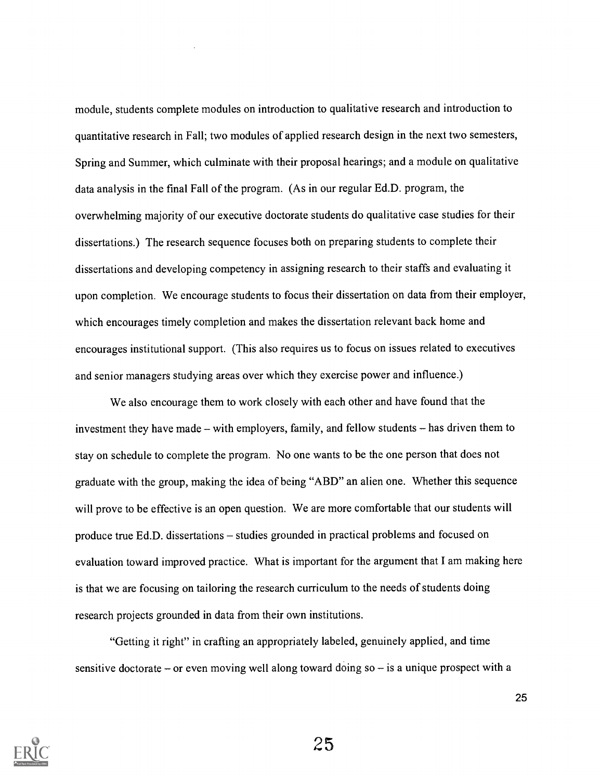module, students complete modules on introduction to qualitative research and introduction to quantitative research in Fall; two modules of applied research design in the next two semesters, Spring and Summer, which culminate with their proposal hearings; and a module on qualitative data analysis in the final Fall of the program. (As in our regular Ed.D. program, the overwhelming majority of our executive doctorate students do qualitative case studies for their dissertations.) The research sequence focuses both on preparing students to complete their dissertations and developing competency in assigning research to their staffs and evaluating it upon completion. We encourage students to focus their dissertation on data from their employer, which encourages timely completion and makes the dissertation relevant back home and encourages institutional support. (This also requires us to focus on issues related to executives and senior managers studying areas over which they exercise power and influence.)

We also encourage them to work closely with each other and have found that the investment they have made – with employers, family, and fellow students – has driven them to stay on schedule to complete the program. No one wants to be the one person that does not graduate with the group, making the idea of being "ABD" an alien one. Whether this sequence will prove to be effective is an open question. We are more comfortable that our students will produce true Ed.D. dissertations – studies grounded in practical problems and focused on evaluation toward improved practice. What is important for the argument that I am making here is that we are focusing on tailoring the research curriculum to the needs of students doing research projects grounded in data from their own institutions.

"Getting it right" in crafting an appropriately labeled, genuinely applied, and time sensitive doctorate – or even moving well along toward doing  $so - is a unique prospect with a$ 



25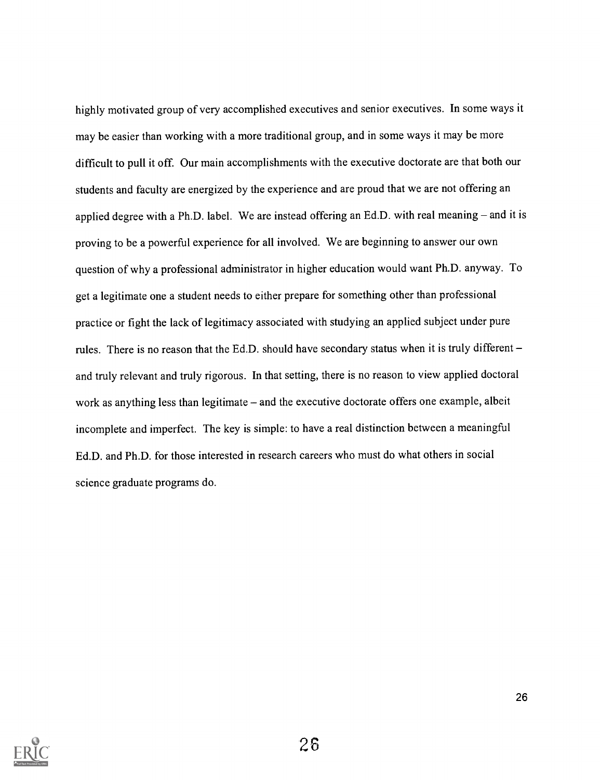highly motivated group of very accomplished executives and senior executives. In some ways it may be easier than working with a more traditional group, and in some ways it may be more difficult to pull it off. Our main accomplishments with the executive doctorate are that both our students and faculty are energized by the experience and are proud that we are not offering an applied degree with a Ph.D. label. We are instead offering an Ed.D. with real meaning  $-$  and it is proving to be a powerful experience for all involved. We are beginning to answer our own question of why a professional administrator in higher education would want Ph.D. anyway. To get a legitimate one a student needs to either prepare for something other than professional practice or fight the lack of legitimacy associated with studying an applied subject under pure rules. There is no reason that the Ed.D. should have secondary status when it is truly different and truly relevant and truly rigorous. In that setting, there is no reason to view applied doctoral work as anything less than legitimate - and the executive doctorate offers one example, albeit incomplete and imperfect. The key is simple: to have a real distinction between a meaningful Ed.D. and Ph.D. for those interested in research careers who must do what others in social science graduate programs do.

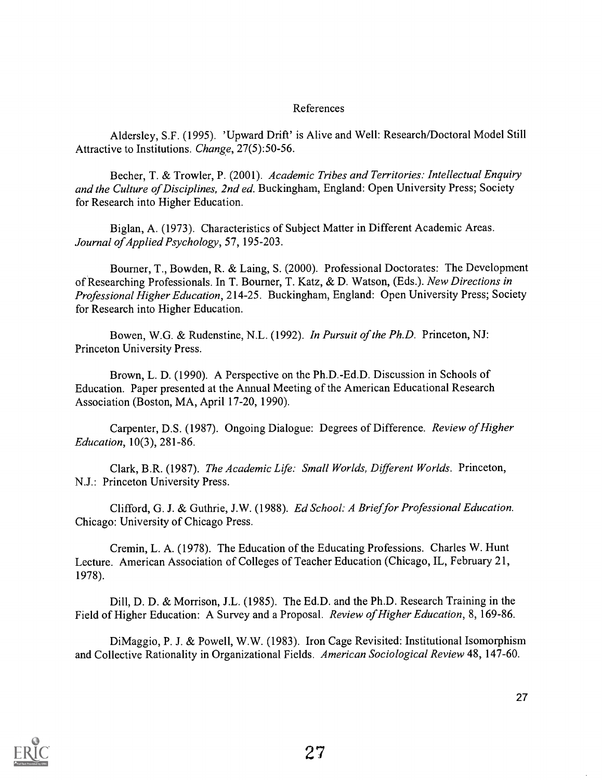#### References

Aldersley, S.F. (1995). 'Upward Drift' is Alive and Well: Research/Doctoral Model Still Attractive to Institutions. Change, 27(5):50-56.

Becher, T. & Trowler, P. (2001). Academic Tribes and Territories: Intellectual Enquiry and the Culture of Disciplines, 2nd ed. Buckingham, England: Open University Press; Society for Research into Higher Education.

Biglan, A. (1973). Characteristics of Subject Matter in Different Academic Areas. Journal of Applied Psychology, 57, 195-203.

Bourner, T., Bowden, R. & Laing, S. (2000). Professional Doctorates: The Development of Researching Professionals. In T. Bourner, T. Katz, & D. Watson, (Eds.). New Directions in Professional Higher Education, 214-25. Buckingham, England: Open University Press; Society for Research into Higher Education.

Bowen, W.G. & Rudenstine, N.L. (1992). In Pursuit of the Ph.D. Princeton, NJ: Princeton University Press.

Brown, L. D. (1990). A Perspective on the Ph.D.-Ed.D. Discussion in Schools of Education. Paper presented at the Annual Meeting of the American Educational Research Association (Boston, MA, April 17-20, 1990).

Carpenter, D.S. (1987). Ongoing Dialogue: Degrees of Difference. Review of Higher Education, 10(3), 281-86.

Clark, B.R. (1987). The Academic Life: Small Worlds, Different Worlds. Princeton, N.J.: Princeton University Press.

Clifford, G. J. & Guthrie, J.W. (1988). Ed School: A Brief for Professional Education. Chicago: University of Chicago Press.

Cremin, L. A. (1978). The Education of the Educating Professions. Charles W. Hunt Lecture. American Association of Colleges of Teacher Education (Chicago, IL, February 21, 1978).

Dill, D. D. & Morrison, J.L. (1985). The Ed.D. and the Ph.D. Research Training in the Field of Higher Education: A Survey and a Proposal. Review of Higher Education, 8, 169-86.

DiMaggio, P. J. & Powell, W.W. (1983). Iron Cage Revisited: Institutional Isomorphism and Collective Rationality in Organizational Fields. American Sociological Review 48, 147-60.

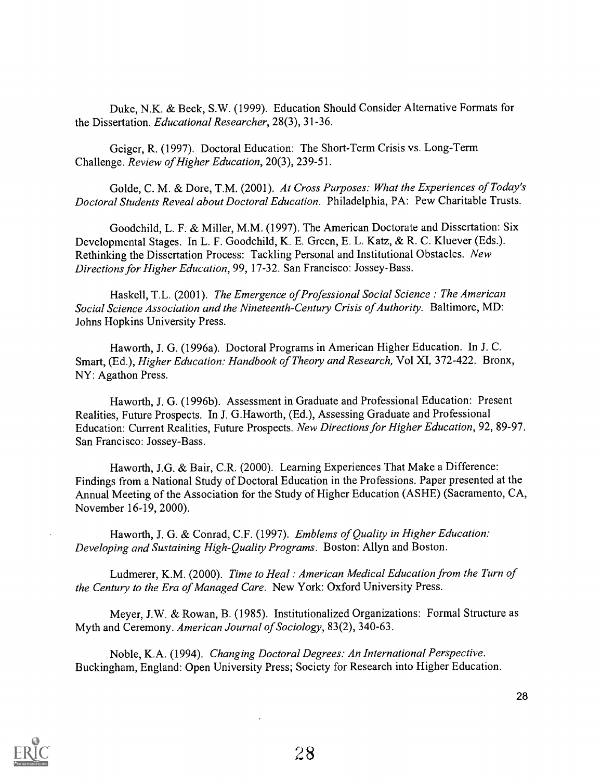Duke, N.K. & Beck, S.W. (1999). Education Should Consider Alternative Formats for the Dissertation. Educational Researcher, 28(3), 31-36.

Geiger, R. (1997). Doctoral Education: The Short-Term Crisis vs. Long-Term Challenge. Review of Higher Education, 20(3), 239-51.

Golde, C. M. & Dore, T.M. (2001). At Cross Purposes: What the Experiences of Today's Doctoral Students Reveal about Doctoral Education. Philadelphia, PA: Pew Charitable Trusts.

Goodchild, L. F. & Miller, M.M. (1997). The American Doctorate and Dissertation: Six Developmental Stages. In L. F. Goodchild, K. E. Green, E. L. Katz, & R. C. Kluever (Eds.). Rethinking the Dissertation Process: Tackling Personal and Institutional Obstacles. New Directions for Higher Education, 99, 17-32. San Francisco: Jossey-Bass.

Haskell, T.L. (2001). The Emergence of Professional Social Science: The American Social Science Association and the Nineteenth-Century Crisis of Authority. Baltimore, MD: Johns Hopkins University Press.

Haworth, J. G. (1996a). Doctoral Programs in American Higher Education. In J. C. Smart, (Ed.), Higher Education: Handbook of Theory and Research, Vol XI, 372-422. Bronx, NY: Agathon Press.

Haworth, J. G. (1996b). Assessment in Graduate and Professional Education: Present Realities, Future Prospects. In J. G.Haworth, (Ed.), Assessing Graduate and Professional Education: Current Realities, Future Prospects. New Directions for Higher Education, 92, 89-97. San Francisco: Jossey-Bass.

Haworth, J.G. & Bair, C.R. (2000). Learning Experiences That Make a Difference: Findings from a National Study of Doctoral Education in the Professions. Paper presented at the Annual Meeting of the Association for the Study of Higher Education (ASHE) (Sacramento, CA, November 16-19, 2000).

Haworth, J. G. & Conrad, C.F. (1997). Emblems of Quality in Higher Education: Developing and Sustaining High-Quality Programs. Boston: Allyn and Boston.

Ludmerer, K.M. (2000). Time to Heal : American Medical Education from the Turn of the Century to the Era of Managed Care. New York: Oxford University Press.

Meyer, J.W. & Rowan, B. (1985). Institutionalized Organizations: Formal Structure as Myth and Ceremony. American Journal of Sociology, 83(2), 340-63.

Noble, K.A. (1994). Changing Doctoral Degrees: An International Perspective. Buckingham, England: Open University Press; Society for Research into Higher Education.

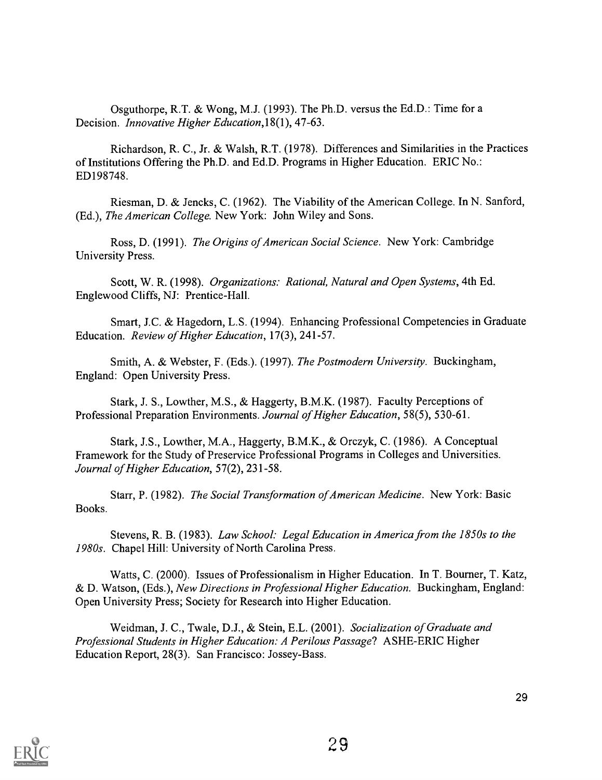Osguthorpe, R.T. & Wong, M.J. (1993). The Ph.D. versus the Ed.D.: Time for a Decision. *Innovative Higher Education*, 18(1), 47-63.

Richardson, R. C., Jr. & Walsh, R.T. (1978). Differences and Similarities in the Practices of Institutions Offering the Ph.D. and Ed.D. Programs in Higher Education. ERIC No.: ED198748.

Riesman, D. & Jencks, C. (1962). The Viability of the American College. In N. Sanford, (Ed.), The American College. New York: John Wiley and Sons.

Ross, D. (1991). The Origins of American Social Science. New York: Cambridge University Press.

Scott, W. R. (1998). Organizations: Rational, Natural and Open Systems, 4th Ed. Englewood Cliffs, NJ: Prentice-Hall.

Smart, J.C. & Hagedorn, L.S. (1994). Enhancing Professional Competencies in Graduate Education. Review of Higher Education, 17(3), 241-57.

Smith, A. & Webster, F. (Eds.). (1997). The Postmodern University. Buckingham, England: Open University Press.

Stark, J. S., Lowther, M.S., & Haggerty, B.M.K. (1987). Faculty Perceptions of Professional Preparation Environments. Journal of Higher Education, 58(5), 530-61.

Stark, J.S., Lowther, M.A., Haggerty, B.M.K., & Orczyk, C. (1986). A Conceptual Framework for the Study of Preservice Professional Programs in Colleges and Universities. Journal of Higher Education, 57(2), 231-58.

Starr, P. (1982). The Social Transformation of American Medicine. New York: Basic Books.

Stevens, R. B. (1983). Law School: Legal Education in America from the 1850s to the 1980s. Chapel Hill: University of North Carolina Press.

Watts, C. (2000). Issues of Professionalism in Higher Education. In T. Bourner, T. Katz, & D. Watson, (Eds.), New Directions in Professional Higher Education. Buckingham, England: Open University Press; Society for Research into Higher Education.

Weidman, J. C., Twale, D.J., & Stein, E.L. (2001). Socialization of Graduate and Professional Students in Higher Education: A Perilous Passage? ASHE-ERIC Higher Education Report, 28(3). San Francisco: Jossey-Bass.

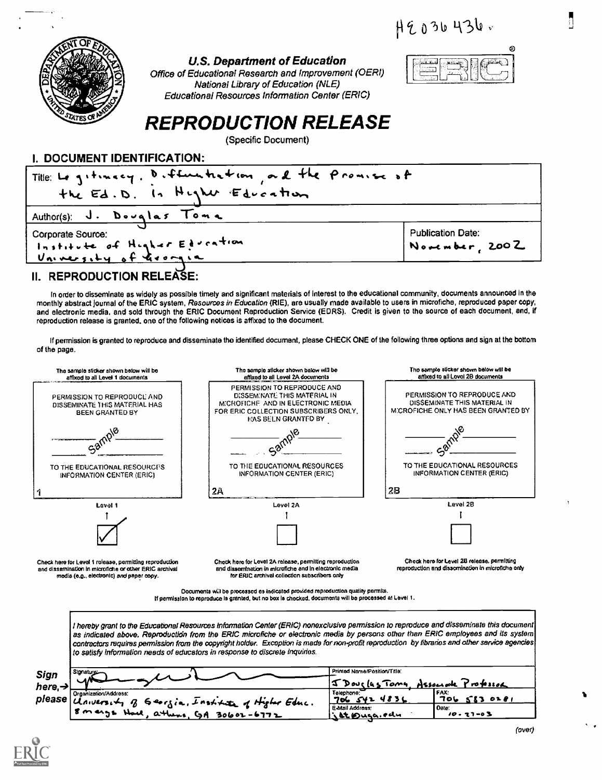$H9036436.$ 



#### U.S. Department of Education

Office of Educational Research and Improvement (OERI) National Library of Education (NLE) Educational Resources Information Center (ERIC)



# REPRODUCTION RELEASE

(Specific Document)

#### I. DOCUMENT IDENTIFICATION:

| Title: Le gitincy, Differentiation, all the Promise of<br>the Ed.D. In Higher Education |                                     |  |
|-----------------------------------------------------------------------------------------|-------------------------------------|--|
| Author(s): J. Douglas Toma                                                              |                                     |  |
| Corporate Source:<br>Institute of Higher Education                                      | Publication Date:<br>November, 2002 |  |
|                                                                                         |                                     |  |

### II. REPRODUCTION RELEASE:

In Order tO disseminate as widely as possible timely and significant materials of Interest to the educational community, documents announced In the monthly abstract journal of the ERIC system, Resources in Education (RIE), are usually made available to users in microfiche, reproduced paper copy, and electronic media, and sold through the ERIC Document Reproduction Service (EDRS). Credit Is given to the source of each document, and, if reproduction release is granted, one of the following notices is affixed to the document.

If permission is granted to reproduce and disseminate the identified document, please CHECK ONE of the following three options and sign at the bottom of the page.



Documents will be processed as indicated provided reproduction quality permits. If permission to reproduce is granted, but no box is checked, documents will be processed at Level 1.

I hereby grant to the Educational Resources Information Center (ERIC) nonexclusive permission to reproduce and disseminate this document as indicated above. Reproduction from the ERIC microfiche or electronic media by persons other than ERIC employees and its system contractors requires permission from the copyright holder. Exception is made for non-profit reproduction by libraries and other service agencies to satisfy information needs of educators in response to discrete inquiries. Primed NamarPosition/Title Signatu Sign I-1k On) Its I Windy ssounde Professor here,  $\rightarrow \Box$ OrganizelicntAddress: FAX:<br><mark>706 SE3 0281</mark>  $483$ please  $\tilde{u}_{\text{auvers},\downarrow}$  $69$  orzia, Institute of Higher Educ. Eavtail Address: 4.S),Ay' .4" Date o S  $5$   $m$   $m$   $n$  $\alpha$ th  $30602 - 6772$